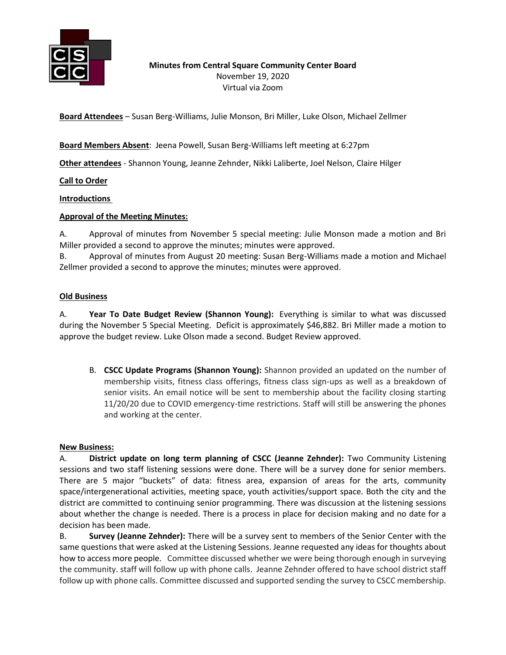

**Minutes from Central Square Community Center Board** November 19, 2020 Virtual via Zoom

**Board Attendees** – Susan Berg-Williams, Julie Monson, Bri Miller, Luke Olson, Michael Zellmer

**Board Members Absent**: Jeena Powell, Susan Berg-Williams left meeting at 6:27pm

**Other attendees** - Shannon Young, Jeanne Zehnder, Nikki Laliberte, Joel Nelson, Claire Hilger

**Call to Order**

**Introductions**

#### **Approval of the Meeting Minutes:**

A. Approval of minutes from November 5 special meeting: Julie Monson made a motion and Bri Miller provided a second to approve the minutes; minutes were approved.

B. Approval of minutes from August 20 meeting: Susan Berg-Williams made a motion and Michael Zellmer provided a second to approve the minutes; minutes were approved.

#### **Old Business**

A. **Year To Date Budget Review (Shannon Young):** Everything is similar to what was discussed during the November 5 Special Meeting. Deficit is approximately \$46,882. Bri Miller made a motion to approve the budget review. Luke Olson made a second. Budget Review approved.

B. **CSCC Update Programs (Shannon Young):** Shannon provided an updated on the number of membership visits, fitness class offerings, fitness class sign-ups as well as a breakdown of senior visits. An email notice will be sent to membership about the facility closing starting 11/20/20 due to COVID emergency-time restrictions. Staff will still be answering the phones and working at the center.

#### **New Business:**

A. **District update on long term planning of CSCC (Jeanne Zehnder):** Two Community Listening sessions and two staff listening sessions were done. There will be a survey done for senior members. There are 5 major "buckets" of data: fitness area, expansion of areas for the arts, community space/intergenerational activities, meeting space, youth activities/support space. Both the city and the district are committed to continuing senior programming. There was discussion at the listening sessions about whether the change is needed. There is a process in place for decision making and no date for a decision has been made.

B. **Survey (Jeanne Zehnder):** There will be a survey sent to members of the Senior Center with the same questions that were asked at the Listening Sessions. Jeanne requested any ideas for thoughts about how to access more people. Committee discussed whether we were being thorough enough in surveying the community. staff will follow up with phone calls. Jeanne Zehnder offered to have school district staff follow up with phone calls. Committee discussed and supported sending the survey to CSCC membership.